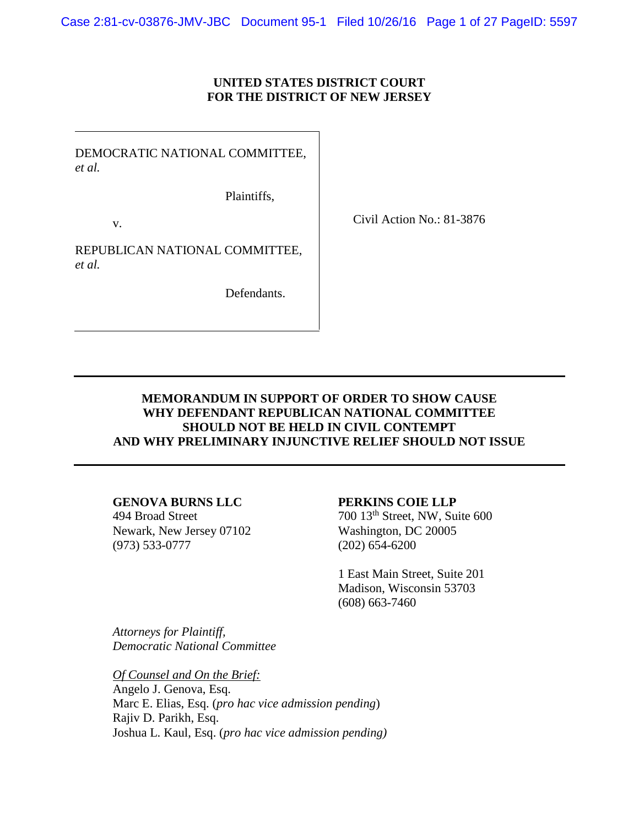Case 2:81-cv-03876-JMV-JBC Document 95-1 Filed 10/26/16 Page 1 of 27 PageID: 5597

#### **UNITED STATES DISTRICT COURT FOR THE DISTRICT OF NEW JERSEY**

DEMOCRATIC NATIONAL COMMITTEE, *et al.*

Plaintiffs,

v.

Civil Action No.: 81-3876

REPUBLICAN NATIONAL COMMITTEE, *et al.*

Defendants.

# **MEMORANDUM IN SUPPORT OF ORDER TO SHOW CAUSE WHY DEFENDANT REPUBLICAN NATIONAL COMMITTEE SHOULD NOT BE HELD IN CIVIL CONTEMPT AND WHY PRELIMINARY INJUNCTIVE RELIEF SHOULD NOT ISSUE**

#### **GENOVA BURNS LLC PERKINS COIE LLP**

Newark, New Jersey 07102 Washington, DC 20005 (973) 533-0777 (202) 654-6200

494 Broad Street 700 13<sup>th</sup> Street, NW, Suite 600

1 East Main Street, Suite 201 Madison, Wisconsin 53703 (608) 663-7460

*Attorneys for Plaintiff, Democratic National Committee*

*Of Counsel and On the Brief:* Angelo J. Genova, Esq. Marc E. Elias, Esq. (*pro hac vice admission pending*) Rajiv D. Parikh, Esq. Joshua L. Kaul, Esq. (*pro hac vice admission pending)*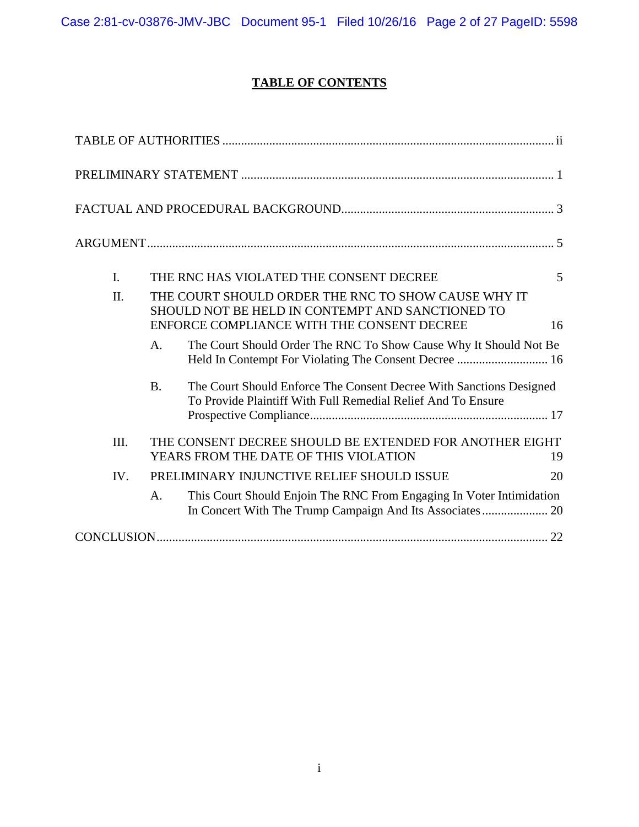# **TABLE OF CONTENTS**

| I.   |                                                                                                                                                             | THE RNC HAS VIOLATED THE CONSENT DECREE                                                                                             | 5 |
|------|-------------------------------------------------------------------------------------------------------------------------------------------------------------|-------------------------------------------------------------------------------------------------------------------------------------|---|
| II.  | THE COURT SHOULD ORDER THE RNC TO SHOW CAUSE WHY IT<br>SHOULD NOT BE HELD IN CONTEMPT AND SANCTIONED TO<br>ENFORCE COMPLIANCE WITH THE CONSENT DECREE<br>16 |                                                                                                                                     |   |
|      | A.                                                                                                                                                          | The Court Should Order The RNC To Show Cause Why It Should Not Be                                                                   |   |
|      | <b>B.</b>                                                                                                                                                   | The Court Should Enforce The Consent Decree With Sanctions Designed<br>To Provide Plaintiff With Full Remedial Relief And To Ensure |   |
| III. | THE CONSENT DECREE SHOULD BE EXTENDED FOR ANOTHER EIGHT<br>YEARS FROM THE DATE OF THIS VIOLATION<br>19                                                      |                                                                                                                                     |   |
| IV.  | PRELIMINARY INJUNCTIVE RELIEF SHOULD ISSUE                                                                                                                  |                                                                                                                                     |   |
|      | A.                                                                                                                                                          | This Court Should Enjoin The RNC From Engaging In Voter Intimidation                                                                |   |
|      |                                                                                                                                                             |                                                                                                                                     |   |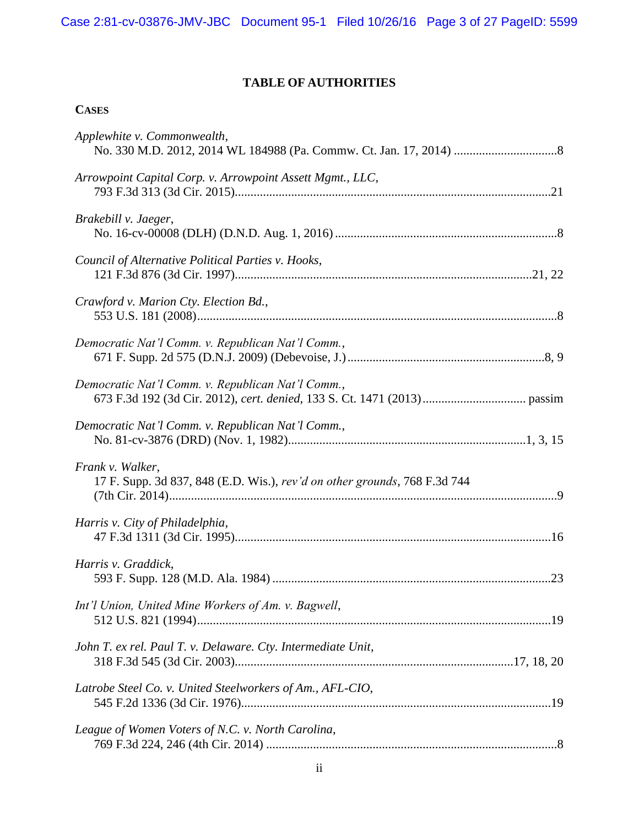# **TABLE OF AUTHORITIES**

# **CASES**

| Applewhite v. Commonwealth,                                                                   |
|-----------------------------------------------------------------------------------------------|
| Arrowpoint Capital Corp. v. Arrowpoint Assett Mgmt., LLC,                                     |
| Brakebill v. Jaeger,                                                                          |
| Council of Alternative Political Parties v. Hooks,                                            |
| Crawford v. Marion Cty. Election Bd.,                                                         |
| Democratic Nat'l Comm. v. Republican Nat'l Comm.,                                             |
| Democratic Nat'l Comm. v. Republican Nat'l Comm.,                                             |
| Democratic Nat'l Comm. v. Republican Nat'l Comm.,                                             |
| Frank v. Walker,<br>17 F. Supp. 3d 837, 848 (E.D. Wis.), rev'd on other grounds, 768 F.3d 744 |
| Harris v. City of Philadelphia,                                                               |
| Harris v. Graddick,                                                                           |
| Int'l Union, United Mine Workers of Am. v. Bagwell,                                           |
| John T. ex rel. Paul T. v. Delaware. Cty. Intermediate Unit,                                  |
| Latrobe Steel Co. v. United Steelworkers of Am., AFL-CIO,                                     |
| League of Women Voters of N.C. v. North Carolina,                                             |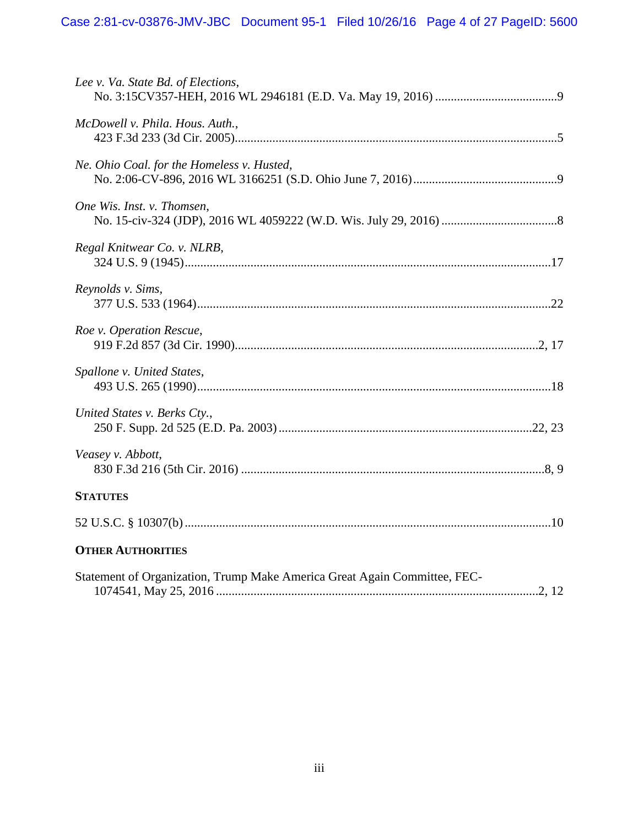| Lee v. Va. State Bd. of Elections,                                        |
|---------------------------------------------------------------------------|
| McDowell v. Phila. Hous. Auth.,                                           |
| Ne. Ohio Coal. for the Homeless v. Husted,                                |
| One Wis. Inst. v. Thomsen,                                                |
| Regal Knitwear Co. v. NLRB,                                               |
| Reynolds v. Sims,                                                         |
| Roe v. Operation Rescue,                                                  |
| Spallone v. United States,                                                |
| United States v. Berks Cty.,                                              |
| Veasey v. Abbott,                                                         |
| <b>STATUTES</b>                                                           |
|                                                                           |
| <b>OTHER AUTHORITIES</b>                                                  |
| Statement of Organization, Trump Make America Great Again Committee, FEC- |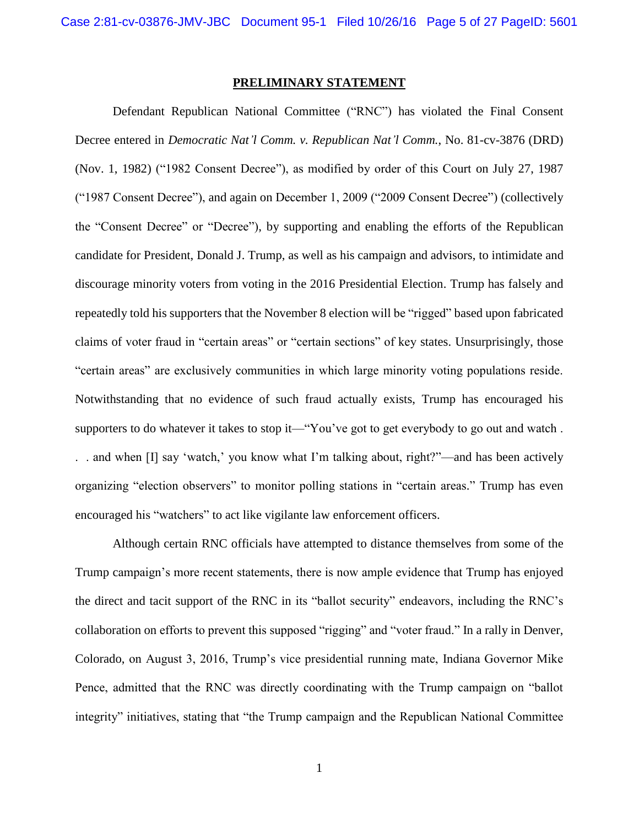#### <span id="page-4-1"></span>**PRELIMINARY STATEMENT**

<span id="page-4-0"></span>Defendant Republican National Committee ("RNC") has violated the Final Consent Decree entered in *Democratic Nat'l Comm. v. Republican Nat'l Comm.*, No. 81-cv-3876 (DRD) (Nov. 1, 1982) ("1982 Consent Decree"), as modified by order of this Court on July 27, 1987 ("1987 Consent Decree"), and again on December 1, 2009 ("2009 Consent Decree") (collectively the "Consent Decree" or "Decree"), by supporting and enabling the efforts of the Republican candidate for President, Donald J. Trump, as well as his campaign and advisors, to intimidate and discourage minority voters from voting in the 2016 Presidential Election. Trump has falsely and repeatedly told his supporters that the November 8 election will be "rigged" based upon fabricated claims of voter fraud in "certain areas" or "certain sections" of key states. Unsurprisingly, those "certain areas" are exclusively communities in which large minority voting populations reside. Notwithstanding that no evidence of such fraud actually exists, Trump has encouraged his supporters to do whatever it takes to stop it—"You've got to get everybody to go out and watch . . . and when [I] say 'watch,' you know what I'm talking about, right?"—and has been actively organizing "election observers" to monitor polling stations in "certain areas." Trump has even encouraged his "watchers" to act like vigilante law enforcement officers.

Although certain RNC officials have attempted to distance themselves from some of the Trump campaign's more recent statements, there is now ample evidence that Trump has enjoyed the direct and tacit support of the RNC in its "ballot security" endeavors, including the RNC's collaboration on efforts to prevent this supposed "rigging" and "voter fraud." In a rally in Denver, Colorado, on August 3, 2016, Trump's vice presidential running mate, Indiana Governor Mike Pence, admitted that the RNC was directly coordinating with the Trump campaign on "ballot integrity" initiatives, stating that "the Trump campaign and the Republican National Committee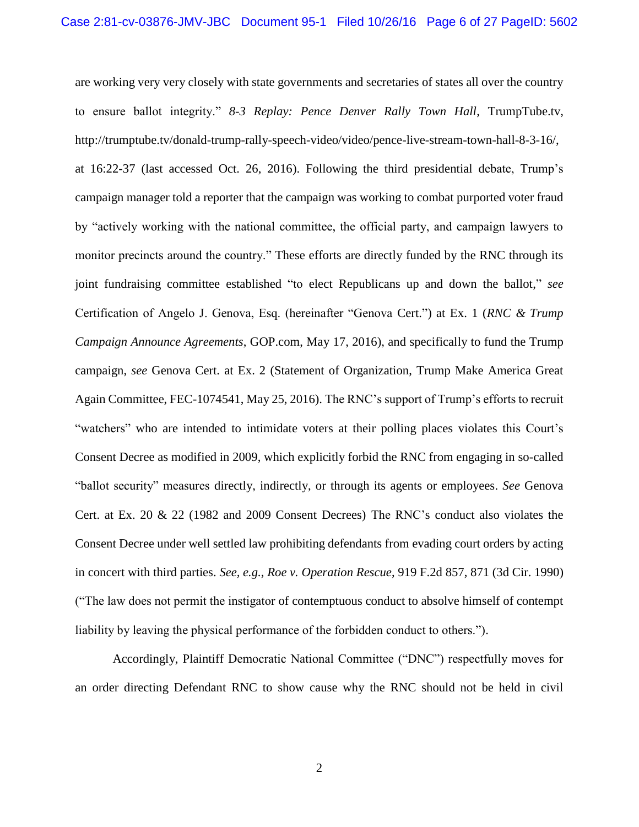<span id="page-5-1"></span>are working very very closely with state governments and secretaries of states all over the country to ensure ballot integrity." *8-3 Replay: Pence Denver Rally Town Hall*, TrumpTube.tv, http://trumptube.tv/donald-trump-rally-speech-video/video/pence-live-stream-town-hall-8-3-16/, at 16:22-37 (last accessed Oct. 26, 2016). Following the third presidential debate, Trump's campaign manager told a reporter that the campaign was working to combat purported voter fraud by "actively working with the national committee, the official party, and campaign lawyers to monitor precincts around the country." These efforts are directly funded by the RNC through its joint fundraising committee established "to elect Republicans up and down the ballot," *see*  Certification of Angelo J. Genova, Esq. (hereinafter "Genova Cert.") at Ex. 1 (*RNC & Trump Campaign Announce Agreements*, GOP.com, May 17, 2016), and specifically to fund the Trump campaign, *see* Genova Cert. at Ex. 2 (Statement of Organization, Trump Make America Great Again Committee, FEC-1074541, May 25, 2016). The RNC's support of Trump's efforts to recruit "watchers" who are intended to intimidate voters at their polling places violates this Court's Consent Decree as modified in 2009, which explicitly forbid the RNC from engaging in so-called "ballot security" measures directly, indirectly, or through its agents or employees. *See* Genova Cert. at Ex. 20 & 22 (1982 and 2009 Consent Decrees) The RNC's conduct also violates the Consent Decree under well settled law prohibiting defendants from evading court orders by acting in concert with third parties. *See, e.g.*, *Roe v. Operation Rescue*, 919 F.2d 857, 871 (3d Cir. 1990) ("The law does not permit the instigator of contemptuous conduct to absolve himself of contempt liability by leaving the physical performance of the forbidden conduct to others.").

<span id="page-5-0"></span>Accordingly, Plaintiff Democratic National Committee ("DNC") respectfully moves for an order directing Defendant RNC to show cause why the RNC should not be held in civil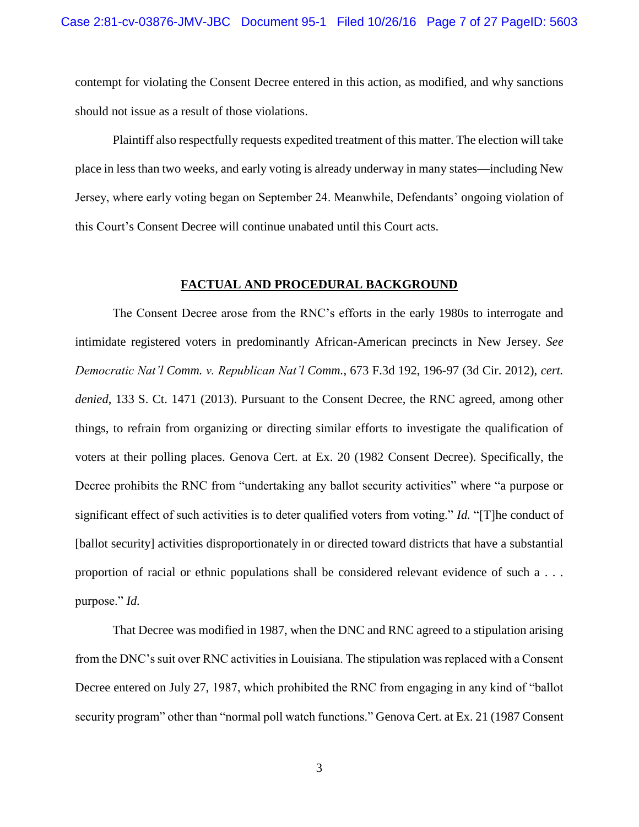contempt for violating the Consent Decree entered in this action, as modified, and why sanctions should not issue as a result of those violations.

Plaintiff also respectfully requests expedited treatment of this matter. The election will take place in less than two weeks, and early voting is already underway in many states—including New Jersey, where early voting began on September 24. Meanwhile, Defendants' ongoing violation of this Court's Consent Decree will continue unabated until this Court acts.

#### <span id="page-6-2"></span>**FACTUAL AND PROCEDURAL BACKGROUND**

<span id="page-6-1"></span><span id="page-6-0"></span>The Consent Decree arose from the RNC's efforts in the early 1980s to interrogate and intimidate registered voters in predominantly African-American precincts in New Jersey. *See Democratic Nat'l Comm. v. Republican Nat'l Comm.*, 673 F.3d 192, 196-97 (3d Cir. 2012), *cert. denied*, 133 S. Ct. 1471 (2013). Pursuant to the Consent Decree, the RNC agreed, among other things, to refrain from organizing or directing similar efforts to investigate the qualification of voters at their polling places. Genova Cert. at Ex. 20 (1982 Consent Decree). Specifically, the Decree prohibits the RNC from "undertaking any ballot security activities" where "a purpose or significant effect of such activities is to deter qualified voters from voting." *Id.* "[T]he conduct of [ballot security] activities disproportionately in or directed toward districts that have a substantial proportion of racial or ethnic populations shall be considered relevant evidence of such a . . . purpose." *Id.* 

That Decree was modified in 1987, when the DNC and RNC agreed to a stipulation arising from the DNC's suit over RNC activities in Louisiana. The stipulation was replaced with a Consent Decree entered on July 27, 1987, which prohibited the RNC from engaging in any kind of "ballot security program" other than "normal poll watch functions." Genova Cert. at Ex. 21 (1987 Consent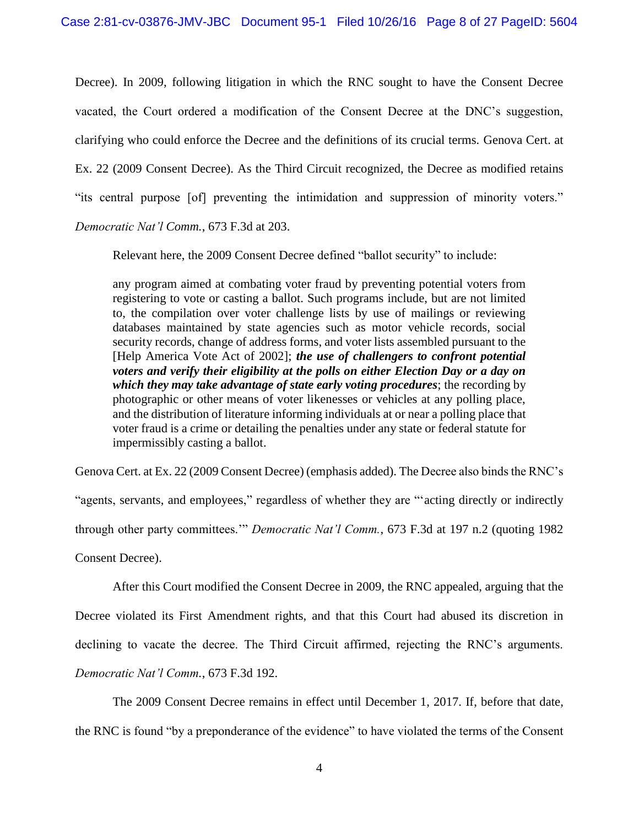Decree). In 2009, following litigation in which the RNC sought to have the Consent Decree vacated, the Court ordered a modification of the Consent Decree at the DNC's suggestion, clarifying who could enforce the Decree and the definitions of its crucial terms. Genova Cert. at Ex. 22 (2009 Consent Decree). As the Third Circuit recognized, the Decree as modified retains "its central purpose [of] preventing the intimidation and suppression of minority voters." *Democratic Nat'l Comm.*, 673 F.3d at 203.

Relevant here, the 2009 Consent Decree defined "ballot security" to include:

any program aimed at combating voter fraud by preventing potential voters from registering to vote or casting a ballot. Such programs include, but are not limited to, the compilation over voter challenge lists by use of mailings or reviewing databases maintained by state agencies such as motor vehicle records, social security records, change of address forms, and voter lists assembled pursuant to the [Help America Vote Act of 2002]; *the use of challengers to confront potential voters and verify their eligibility at the polls on either Election Day or a day on which they may take advantage of state early voting procedures*; the recording by photographic or other means of voter likenesses or vehicles at any polling place, and the distribution of literature informing individuals at or near a polling place that voter fraud is a crime or detailing the penalties under any state or federal statute for impermissibly casting a ballot.

Genova Cert. at Ex. 22 (2009 Consent Decree) (emphasis added). The Decree also binds the RNC's

"agents, servants, and employees," regardless of whether they are "'acting directly or indirectly

through other party committees.'" *Democratic Nat'l Comm.*, 673 F.3d at 197 n.2 (quoting 1982

Consent Decree).

After this Court modified the Consent Decree in 2009, the RNC appealed, arguing that the

Decree violated its First Amendment rights, and that this Court had abused its discretion in

declining to vacate the decree. The Third Circuit affirmed, rejecting the RNC's arguments.

*Democratic Nat'l Comm.*, 673 F.3d 192.

The 2009 Consent Decree remains in effect until December 1, 2017. If, before that date,

the RNC is found "by a preponderance of the evidence" to have violated the terms of the Consent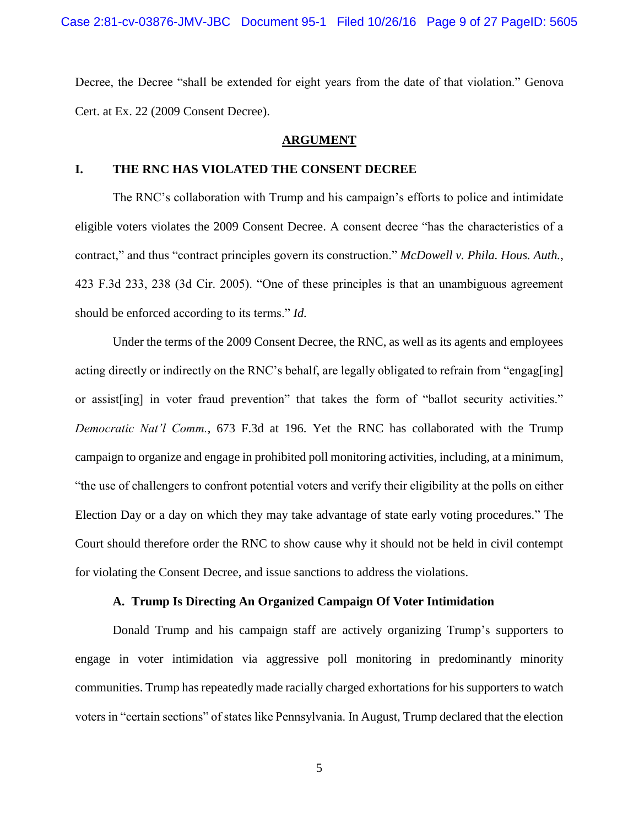Decree, the Decree "shall be extended for eight years from the date of that violation." Genova Cert. at Ex. 22 (2009 Consent Decree).

#### <span id="page-8-2"></span>**ARGUMENT**

#### <span id="page-8-1"></span><span id="page-8-0"></span>**I. THE RNC HAS VIOLATED THE CONSENT DECREE**

The RNC's collaboration with Trump and his campaign's efforts to police and intimidate eligible voters violates the 2009 Consent Decree. A consent decree "has the characteristics of a contract," and thus "contract principles govern its construction." *McDowell v. Phila. Hous. Auth.*, 423 F.3d 233, 238 (3d Cir. 2005). "One of these principles is that an unambiguous agreement should be enforced according to its terms." *Id.* 

Under the terms of the 2009 Consent Decree, the RNC, as well as its agents and employees acting directly or indirectly on the RNC's behalf, are legally obligated to refrain from "engag[ing] or assist[ing] in voter fraud prevention" that takes the form of "ballot security activities." *Democratic Nat'l Comm.*, 673 F.3d at 196. Yet the RNC has collaborated with the Trump campaign to organize and engage in prohibited poll monitoring activities, including, at a minimum, "the use of challengers to confront potential voters and verify their eligibility at the polls on either Election Day or a day on which they may take advantage of state early voting procedures." The Court should therefore order the RNC to show cause why it should not be held in civil contempt for violating the Consent Decree, and issue sanctions to address the violations.

#### **A. Trump Is Directing An Organized Campaign Of Voter Intimidation**

Donald Trump and his campaign staff are actively organizing Trump's supporters to engage in voter intimidation via aggressive poll monitoring in predominantly minority communities. Trump has repeatedly made racially charged exhortations for his supporters to watch voters in "certain sections" of states like Pennsylvania. In August, Trump declared that the election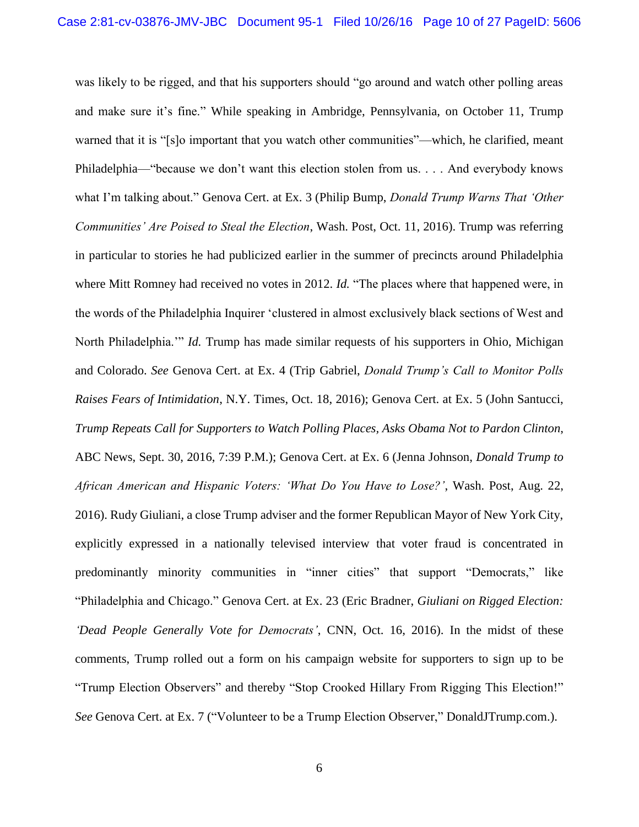was likely to be rigged, and that his supporters should "go around and watch other polling areas and make sure it's fine." While speaking in Ambridge, Pennsylvania, on October 11, Trump warned that it is "[s]o important that you watch other communities"—which, he clarified, meant Philadelphia—"because we don't want this election stolen from us. . . . And everybody knows what I'm talking about." Genova Cert. at Ex. 3 (Philip Bump, *Donald Trump Warns That 'Other Communities' Are Poised to Steal the Election*, Wash. Post, Oct. 11, 2016). Trump was referring in particular to stories he had publicized earlier in the summer of precincts around Philadelphia where Mitt Romney had received no votes in 2012. *Id.* "The places where that happened were, in the words of the Philadelphia Inquirer 'clustered in almost exclusively black sections of West and North Philadelphia.'" *Id.* Trump has made similar requests of his supporters in Ohio, Michigan and Colorado. *See* Genova Cert. at Ex. 4 (Trip Gabriel, *Donald Trump's Call to Monitor Polls Raises Fears of Intimidation*, N.Y. Times, Oct. 18, 2016); Genova Cert. at Ex. 5 (John Santucci, *Trump Repeats Call for Supporters to Watch Polling Places, Asks Obama Not to Pardon Clinton*, ABC News, Sept. 30, 2016, 7:39 P.M.); Genova Cert. at Ex. 6 (Jenna Johnson, *Donald Trump to African American and Hispanic Voters: 'What Do You Have to Lose?'*, Wash. Post, Aug. 22, 2016). Rudy Giuliani, a close Trump adviser and the former Republican Mayor of New York City, explicitly expressed in a nationally televised interview that voter fraud is concentrated in predominantly minority communities in "inner cities" that support "Democrats," like "Philadelphia and Chicago." Genova Cert. at Ex. 23 (Eric Bradner, *Giuliani on Rigged Election: 'Dead People Generally Vote for Democrats'*, CNN, Oct. 16, 2016). In the midst of these comments, Trump rolled out a form on his campaign website for supporters to sign up to be "Trump Election Observers" and thereby "Stop Crooked Hillary From Rigging This Election!" *See* Genova Cert. at Ex. 7 ("Volunteer to be a Trump Election Observer," DonaldJTrump.com.).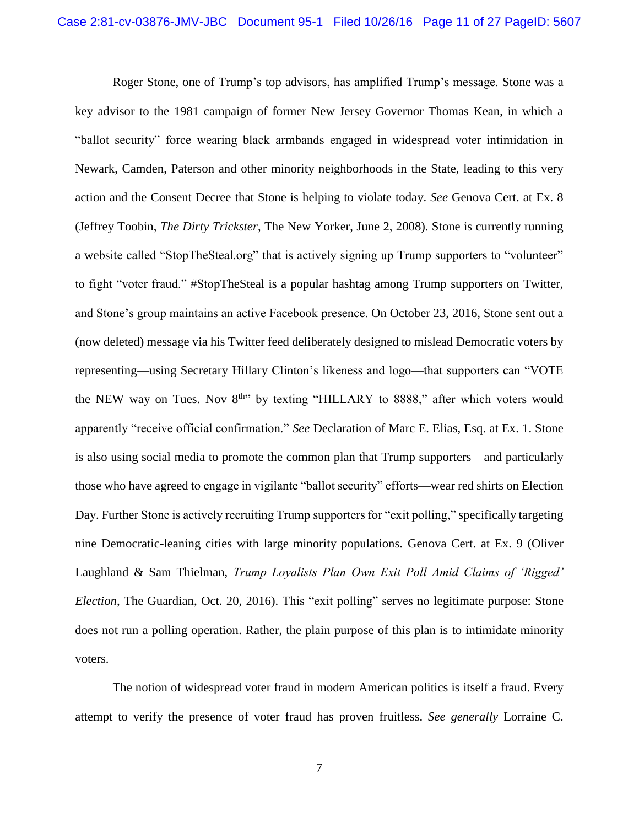Roger Stone, one of Trump's top advisors, has amplified Trump's message. Stone was a key advisor to the 1981 campaign of former New Jersey Governor Thomas Kean, in which a "ballot security" force wearing black armbands engaged in widespread voter intimidation in Newark, Camden, Paterson and other minority neighborhoods in the State, leading to this very action and the Consent Decree that Stone is helping to violate today. *See* Genova Cert. at Ex. 8 (Jeffrey Toobin, *The Dirty Trickster*, The New Yorker, June 2, 2008). Stone is currently running a website called "StopTheSteal.org" that is actively signing up Trump supporters to "volunteer" to fight "voter fraud." #StopTheSteal is a popular hashtag among Trump supporters on Twitter, and Stone's group maintains an active Facebook presence. On October 23, 2016, Stone sent out a (now deleted) message via his Twitter feed deliberately designed to mislead Democratic voters by representing—using Secretary Hillary Clinton's likeness and logo—that supporters can "VOTE the NEW way on Tues. Nov  $8<sup>th</sup>$  by texting "HILLARY to 8888," after which voters would apparently "receive official confirmation." *See* Declaration of Marc E. Elias, Esq. at Ex. 1. Stone is also using social media to promote the common plan that Trump supporters—and particularly those who have agreed to engage in vigilante "ballot security" efforts—wear red shirts on Election Day. Further Stone is actively recruiting Trump supporters for "exit polling," specifically targeting nine Democratic-leaning cities with large minority populations. Genova Cert. at Ex. 9 (Oliver Laughland & Sam Thielman, *Trump Loyalists Plan Own Exit Poll Amid Claims of 'Rigged' Election*, The Guardian, Oct. 20, 2016). This "exit polling" serves no legitimate purpose: Stone does not run a polling operation. Rather, the plain purpose of this plan is to intimidate minority voters.

The notion of widespread voter fraud in modern American politics is itself a fraud. Every attempt to verify the presence of voter fraud has proven fruitless. *See generally* Lorraine C.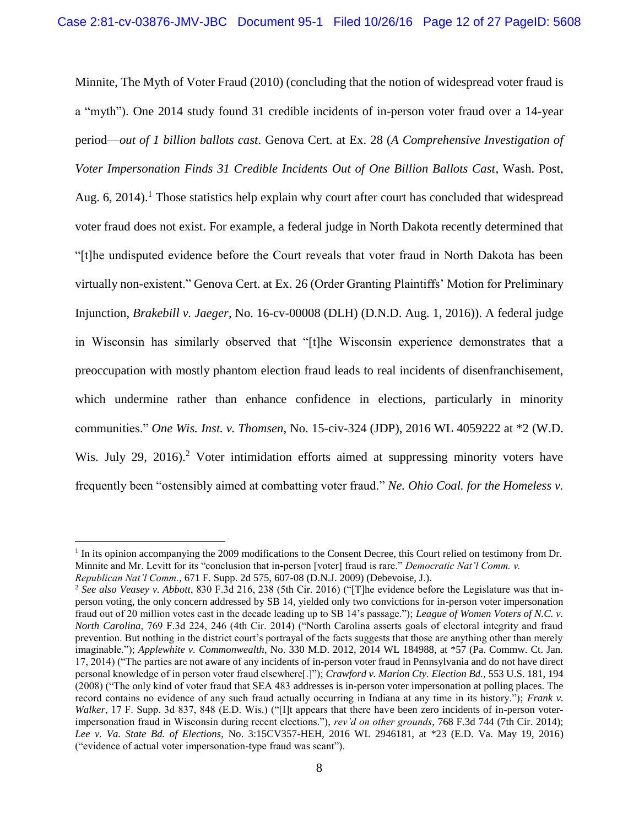Minnite, The Myth of Voter Fraud (2010) (concluding that the notion of widespread voter fraud is a "myth"). One 2014 study found 31 credible incidents of in-person voter fraud over a 14-year period—*out of 1 billion ballots cast*. Genova Cert. at Ex. 28 (*A Comprehensive Investigation of Voter Impersonation Finds 31 Credible Incidents Out of One Billion Ballots Cast*, Wash. Post, Aug. 6, 2014).<sup>1</sup> Those statistics help explain why court after court has concluded that widespread voter fraud does not exist. For example, a federal judge in North Dakota recently determined that "[t]he undisputed evidence before the Court reveals that voter fraud in North Dakota has been virtually non-existent." Genova Cert. at Ex. 26 (Order Granting Plaintiffs' Motion for Preliminary Injunction, *Brakebill v. Jaeger*, No. 16-cv-00008 (DLH) (D.N.D. Aug. 1, 2016)). A federal judge in Wisconsin has similarly observed that "[t]he Wisconsin experience demonstrates that a preoccupation with mostly phantom election fraud leads to real incidents of disenfranchisement, which undermine rather than enhance confidence in elections, particularly in minority communities." *One Wis. Inst. v. Thomsen*, No. 15-civ-324 (JDP), 2016 WL 4059222 at \*2 (W.D. Wis. July 29, 2016).<sup>2</sup> Voter intimidation efforts aimed at suppressing minority voters have frequently been "ostensibly aimed at combatting voter fraud." *Ne. Ohio Coal. for the Homeless v.* 

<span id="page-11-8"></span><span id="page-11-7"></span><span id="page-11-3"></span><span id="page-11-1"></span> $\overline{a}$ 

<sup>&</sup>lt;sup>1</sup> In its opinion accompanying the 2009 modifications to the Consent Decree, this Court relied on testimony from Dr. Minnite and Mr. Levitt for its "conclusion that in-person [voter] fraud is rare." *Democratic Nat'l Comm. v. Republican Nat'l Comm.*, 671 F. Supp. 2d 575, 607-08 (D.N.J. 2009) (Debevoise, J.).

<span id="page-11-9"></span><span id="page-11-6"></span><span id="page-11-5"></span><span id="page-11-4"></span><span id="page-11-2"></span><span id="page-11-0"></span><sup>2</sup> *See also Veasey v. Abbott*, 830 F.3d 216, 238 (5th Cir. 2016) ("[T]he evidence before the Legislature was that inperson voting, the only concern addressed by SB 14, yielded only two convictions for in-person voter impersonation fraud out of 20 million votes cast in the decade leading up to SB 14's passage."); *League of Women Voters of N.C. v. North Carolina*, 769 F.3d 224, 246 (4th Cir. 2014) ("North Carolina asserts goals of electoral integrity and fraud prevention. But nothing in the district court's portrayal of the facts suggests that those are anything other than merely imaginable."); *Applewhite v. Commonwealth*, No. 330 M.D. 2012, 2014 WL 184988, at \*57 (Pa. Commw. Ct. Jan. 17, 2014) ("The parties are not aware of any incidents of in-person voter fraud in Pennsylvania and do not have direct personal knowledge of in person voter fraud elsewhere[.]"); *Crawford v. Marion Cty. Election Bd.*, 553 U.S. 181, 194 (2008) ("The only kind of voter fraud that SEA 483 addresses is in-person voter impersonation at polling places. The record contains no evidence of any such fraud actually occurring in Indiana at any time in its history."); *Frank v. Walker*, 17 F. Supp. 3d 837, 848 (E.D. Wis.) ("[I]t appears that there have been zero incidents of in-person voterimpersonation fraud in Wisconsin during recent elections."), *rev'd on other grounds*, 768 F.3d 744 (7th Cir. 2014); *Lee v. Va. State Bd. of Elections*, No. 3:15CV357-HEH, 2016 WL 2946181, at \*23 (E.D. Va. May 19, 2016) ("evidence of actual voter impersonation-type fraud was scant").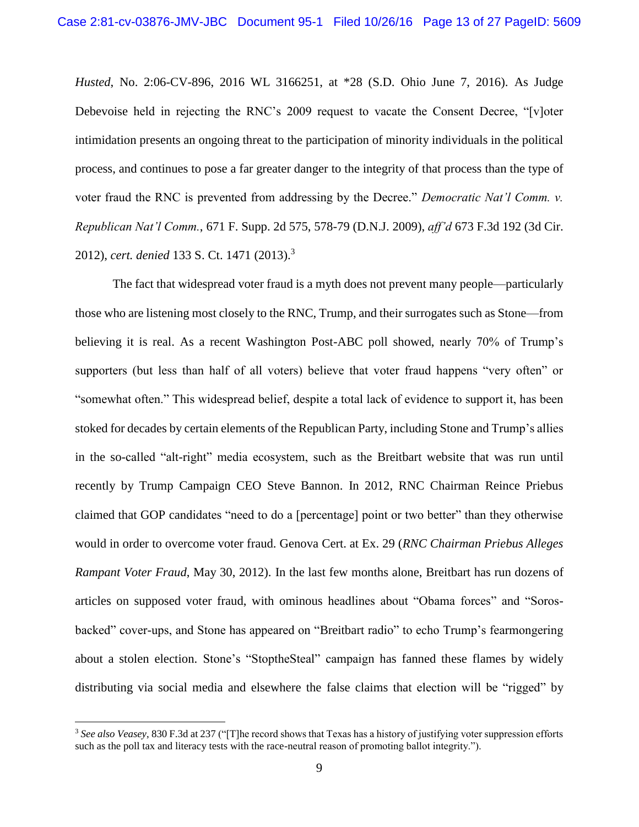*Husted*, No. 2:06-CV-896, 2016 WL 3166251, at \*28 (S.D. Ohio June 7, 2016). As Judge Debevoise held in rejecting the RNC's 2009 request to vacate the Consent Decree, "[v]oter intimidation presents an ongoing threat to the participation of minority individuals in the political process, and continues to pose a far greater danger to the integrity of that process than the type of voter fraud the RNC is prevented from addressing by the Decree." *Democratic Nat'l Comm. v. Republican Nat'l Comm.*, 671 F. Supp. 2d 575, 578-79 (D.N.J. 2009), *aff'd* 673 F.3d 192 (3d Cir. 2012), *cert. denied* 133 S. Ct. 1471 (2013). 3

<span id="page-12-0"></span>The fact that widespread voter fraud is a myth does not prevent many people—particularly those who are listening most closely to the RNC, Trump, and their surrogates such as Stone—from believing it is real. As a recent Washington Post-ABC poll showed, nearly 70% of Trump's supporters (but less than half of all voters) believe that voter fraud happens "very often" or "somewhat often." This widespread belief, despite a total lack of evidence to support it, has been stoked for decades by certain elements of the Republican Party, including Stone and Trump's allies in the so-called "alt-right" media ecosystem, such as the Breitbart website that was run until recently by Trump Campaign CEO Steve Bannon. In 2012, RNC Chairman Reince Priebus claimed that GOP candidates "need to do a [percentage] point or two better" than they otherwise would in order to overcome voter fraud. Genova Cert. at Ex. 29 (*RNC Chairman Priebus Alleges Rampant Voter Fraud*, May 30, 2012). In the last few months alone, Breitbart has run dozens of articles on supposed voter fraud, with ominous headlines about "Obama forces" and "Sorosbacked" cover-ups, and Stone has appeared on "Breitbart radio" to echo Trump's fearmongering about a stolen election. Stone's "StoptheSteal" campaign has fanned these flames by widely distributing via social media and elsewhere the false claims that election will be "rigged" by

 $\overline{a}$ 

<span id="page-12-1"></span><sup>3</sup> *See also Veasey*, 830 F.3d at 237 ("[T]he record shows that Texas has a history of justifying voter suppression efforts such as the poll tax and literacy tests with the race-neutral reason of promoting ballot integrity.").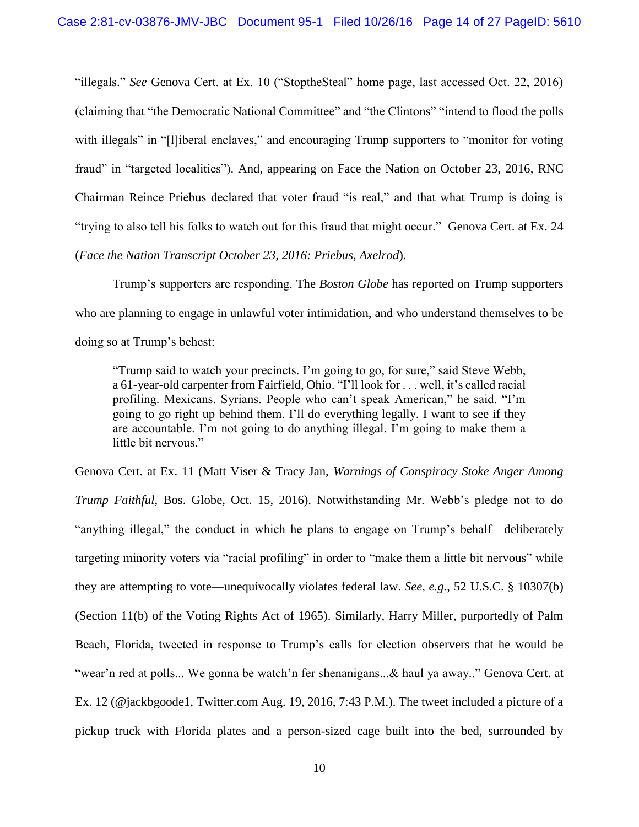"illegals." *See* Genova Cert. at Ex. 10 ("StoptheSteal" home page, last accessed Oct. 22, 2016) (claiming that "the Democratic National Committee" and "the Clintons" "intend to flood the polls with illegals" in "[l]iberal enclaves," and encouraging Trump supporters to "monitor for voting fraud" in "targeted localities"). And, appearing on Face the Nation on October 23, 2016, RNC Chairman Reince Priebus declared that voter fraud "is real," and that what Trump is doing is "trying to also tell his folks to watch out for this fraud that might occur." Genova Cert. at Ex. 24 (*Face the Nation Transcript October 23, 2016: Priebus, Axelrod*).

Trump's supporters are responding. The *Boston Globe* has reported on Trump supporters who are planning to engage in unlawful voter intimidation, and who understand themselves to be doing so at Trump's behest:

"Trump said to watch your precincts. I'm going to go, for sure," said Steve Webb, a 61-year-old carpenter from Fairfield, Ohio. "I'll look for . . . well, it's called racial profiling. Mexicans. Syrians. People who can't speak American," he said. "I'm going to go right up behind them. I'll do everything legally. I want to see if they are accountable. I'm not going to do anything illegal. I'm going to make them a little bit nervous."

<span id="page-13-0"></span>Genova Cert. at Ex. 11 (Matt Viser & Tracy Jan, *Warnings of Conspiracy Stoke Anger Among Trump Faithful*, Bos. Globe, Oct. 15, 2016). Notwithstanding Mr. Webb's pledge not to do "anything illegal," the conduct in which he plans to engage on Trump's behalf—deliberately targeting minority voters via "racial profiling" in order to "make them a little bit nervous" while they are attempting to vote—unequivocally violates federal law. *See, e.g.*, 52 U.S.C. § 10307(b) (Section 11(b) of the Voting Rights Act of 1965). Similarly, Harry Miller, purportedly of Palm Beach, Florida, tweeted in response to Trump's calls for election observers that he would be "wear'n red at polls... We gonna be watch'n fer shenanigans...& haul ya away.." Genova Cert. at Ex. 12 (@jackbgoode1, Twitter.com Aug. 19, 2016, 7:43 P.M.). The tweet included a picture of a pickup truck with Florida plates and a person-sized cage built into the bed, surrounded by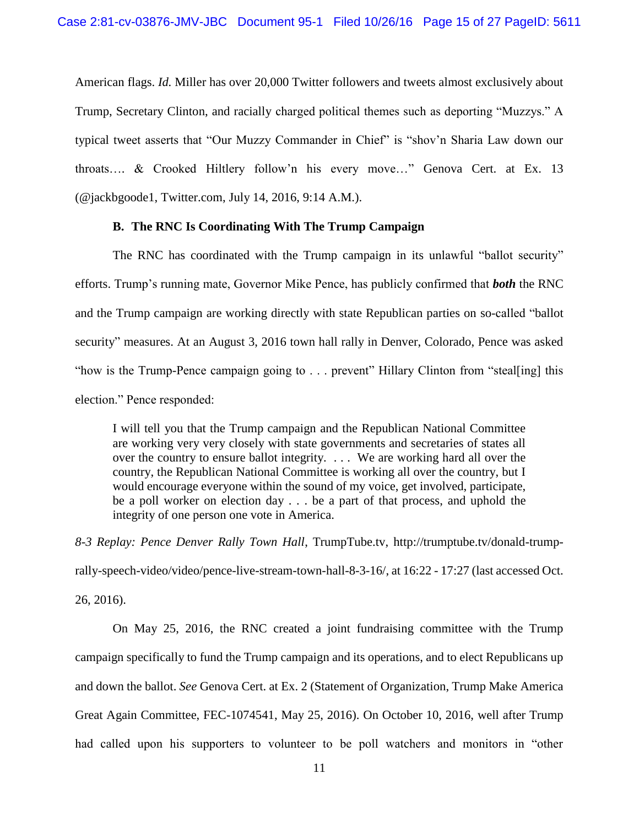American flags. *Id.* Miller has over 20,000 Twitter followers and tweets almost exclusively about Trump, Secretary Clinton, and racially charged political themes such as deporting "Muzzys." A typical tweet asserts that "Our Muzzy Commander in Chief" is "shov'n Sharia Law down our throats…. & Crooked Hiltlery follow'n his every move…" Genova Cert. at Ex. 13 (@jackbgoode1, Twitter.com, July 14, 2016, 9:14 A.M.).

#### **B. The RNC Is Coordinating With The Trump Campaign**

The RNC has coordinated with the Trump campaign in its unlawful "ballot security" efforts. Trump's running mate, Governor Mike Pence, has publicly confirmed that *both* the RNC and the Trump campaign are working directly with state Republican parties on so-called "ballot security" measures. At an August 3, 2016 town hall rally in Denver, Colorado, Pence was asked "how is the Trump-Pence campaign going to . . . prevent" Hillary Clinton from "steal[ing] this election." Pence responded:

I will tell you that the Trump campaign and the Republican National Committee are working very very closely with state governments and secretaries of states all over the country to ensure ballot integrity. . . . We are working hard all over the country, the Republican National Committee is working all over the country, but I would encourage everyone within the sound of my voice, get involved, participate, be a poll worker on election day . . . be a part of that process, and uphold the integrity of one person one vote in America.

*8-3 Replay: Pence Denver Rally Town Hall*, TrumpTube.tv, http://trumptube.tv/donald-trumprally-speech-video/video/pence-live-stream-town-hall-8-3-16/, at 16:22 - 17:27 (last accessed Oct. 26, 2016).

<span id="page-14-0"></span>On May 25, 2016, the RNC created a joint fundraising committee with the Trump campaign specifically to fund the Trump campaign and its operations, and to elect Republicans up and down the ballot. *See* Genova Cert. at Ex. 2 (Statement of Organization, Trump Make America Great Again Committee, FEC-1074541, May 25, 2016). On October 10, 2016, well after Trump had called upon his supporters to volunteer to be poll watchers and monitors in "other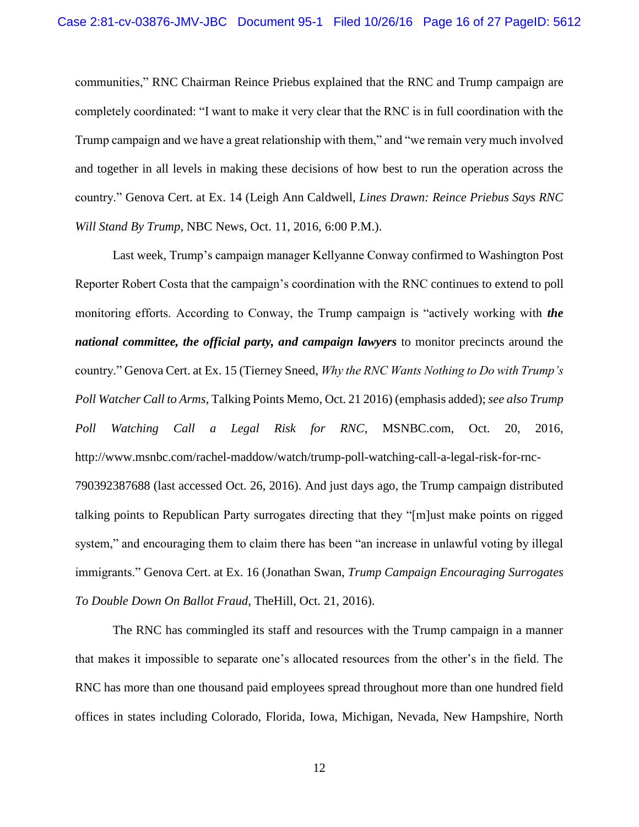communities," RNC Chairman Reince Priebus explained that the RNC and Trump campaign are completely coordinated: "I want to make it very clear that the RNC is in full coordination with the Trump campaign and we have a great relationship with them," and "we remain very much involved and together in all levels in making these decisions of how best to run the operation across the country." Genova Cert. at Ex. 14 (Leigh Ann Caldwell, *Lines Drawn: Reince Priebus Says RNC Will Stand By Trump*, NBC News, Oct. 11, 2016, 6:00 P.M.).

Last week, Trump's campaign manager Kellyanne Conway confirmed to Washington Post Reporter Robert Costa that the campaign's coordination with the RNC continues to extend to poll monitoring efforts. According to Conway, the Trump campaign is "actively working with *the national committee, the official party, and campaign lawyers* to monitor precincts around the country." Genova Cert. at Ex. 15 (Tierney Sneed, *Why the RNC Wants Nothing to Do with Trump's Poll Watcher Call to Arms*, Talking Points Memo, Oct. 21 2016) (emphasis added); *see also Trump Poll Watching Call a Legal Risk for RNC*, MSNBC.com, Oct. 20, 2016, http://www.msnbc.com/rachel-maddow/watch/trump-poll-watching-call-a-legal-risk-for-rnc-790392387688 (last accessed Oct. 26, 2016). And just days ago, the Trump campaign distributed talking points to Republican Party surrogates directing that they "[m]ust make points on rigged system," and encouraging them to claim there has been "an increase in unlawful voting by illegal immigrants." Genova Cert. at Ex. 16 (Jonathan Swan, *Trump Campaign Encouraging Surrogates To Double Down On Ballot Fraud*, TheHill, Oct. 21, 2016).

The RNC has commingled its staff and resources with the Trump campaign in a manner that makes it impossible to separate one's allocated resources from the other's in the field. The RNC has more than one thousand paid employees spread throughout more than one hundred field offices in states including Colorado, Florida, Iowa, Michigan, Nevada, New Hampshire, North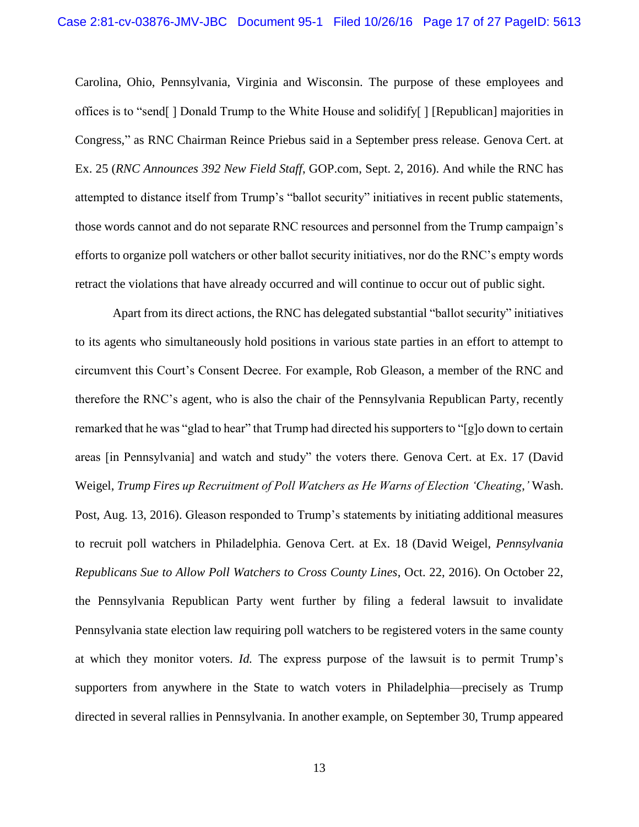Carolina, Ohio, Pennsylvania, Virginia and Wisconsin. The purpose of these employees and offices is to "send[ ] Donald Trump to the White House and solidify[ ] [Republican] majorities in Congress," as RNC Chairman Reince Priebus said in a September press release. Genova Cert. at Ex. 25 (*RNC Announces 392 New Field Staff*, GOP.com, Sept. 2, 2016). And while the RNC has attempted to distance itself from Trump's "ballot security" initiatives in recent public statements, those words cannot and do not separate RNC resources and personnel from the Trump campaign's efforts to organize poll watchers or other ballot security initiatives, nor do the RNC's empty words retract the violations that have already occurred and will continue to occur out of public sight.

Apart from its direct actions, the RNC has delegated substantial "ballot security" initiatives to its agents who simultaneously hold positions in various state parties in an effort to attempt to circumvent this Court's Consent Decree. For example, Rob Gleason, a member of the RNC and therefore the RNC's agent, who is also the chair of the Pennsylvania Republican Party, recently remarked that he was "glad to hear" that Trump had directed his supporters to "[g]o down to certain areas [in Pennsylvania] and watch and study" the voters there. Genova Cert. at Ex. 17 (David Weigel, *Trump Fires up Recruitment of Poll Watchers as He Warns of Election 'Cheating*,*'* Wash. Post, Aug. 13, 2016). Gleason responded to Trump's statements by initiating additional measures to recruit poll watchers in Philadelphia. Genova Cert. at Ex. 18 (David Weigel, *Pennsylvania Republicans Sue to Allow Poll Watchers to Cross County Lines*, Oct. 22, 2016). On October 22, the Pennsylvania Republican Party went further by filing a federal lawsuit to invalidate Pennsylvania state election law requiring poll watchers to be registered voters in the same county at which they monitor voters. *Id.* The express purpose of the lawsuit is to permit Trump's supporters from anywhere in the State to watch voters in Philadelphia—precisely as Trump directed in several rallies in Pennsylvania. In another example, on September 30, Trump appeared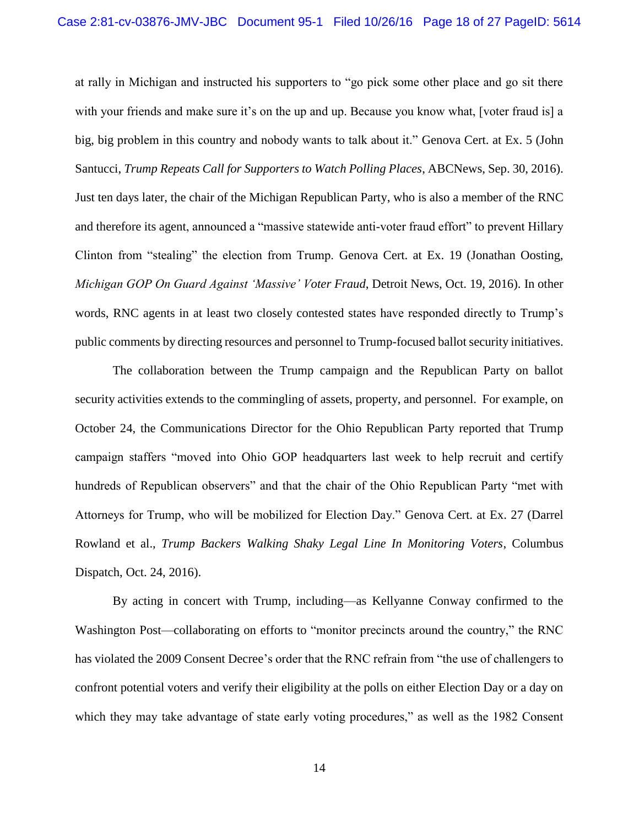at rally in Michigan and instructed his supporters to "go pick some other place and go sit there with your friends and make sure it's on the up and up. Because you know what, [voter fraud is] a big, big problem in this country and nobody wants to talk about it." Genova Cert. at Ex. 5 (John Santucci, *Trump Repeats Call for Supporters to Watch Polling Places*, ABCNews, Sep. 30, 2016). Just ten days later, the chair of the Michigan Republican Party, who is also a member of the RNC and therefore its agent, announced a "massive statewide anti-voter fraud effort" to prevent Hillary Clinton from "stealing" the election from Trump. Genova Cert. at Ex. 19 (Jonathan Oosting, *Michigan GOP On Guard Against 'Massive' Voter Fraud*, Detroit News, Oct. 19, 2016). In other words, RNC agents in at least two closely contested states have responded directly to Trump's public comments by directing resources and personnel to Trump-focused ballot security initiatives.

The collaboration between the Trump campaign and the Republican Party on ballot security activities extends to the commingling of assets, property, and personnel. For example, on October 24, the Communications Director for the Ohio Republican Party reported that Trump campaign staffers "moved into Ohio GOP headquarters last week to help recruit and certify hundreds of Republican observers" and that the chair of the Ohio Republican Party "met with Attorneys for Trump, who will be mobilized for Election Day." Genova Cert. at Ex. 27 (Darrel Rowland et al., *Trump Backers Walking Shaky Legal Line In Monitoring Voters*, Columbus Dispatch, Oct. 24, 2016).

By acting in concert with Trump, including—as Kellyanne Conway confirmed to the Washington Post—collaborating on efforts to "monitor precincts around the country," the RNC has violated the 2009 Consent Decree's order that the RNC refrain from "the use of challengers to confront potential voters and verify their eligibility at the polls on either Election Day or a day on which they may take advantage of state early voting procedures," as well as the 1982 Consent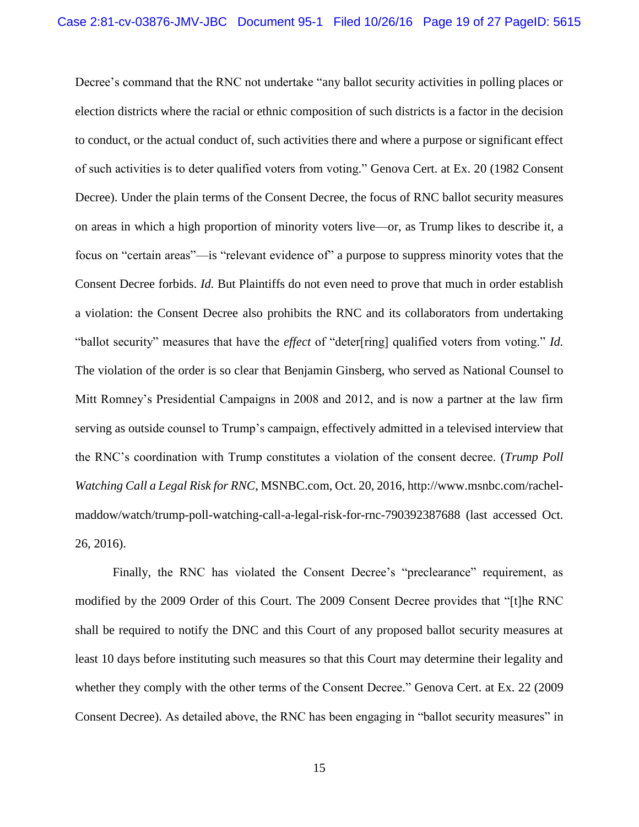<span id="page-18-0"></span>Decree's command that the RNC not undertake "any ballot security activities in polling places or election districts where the racial or ethnic composition of such districts is a factor in the decision to conduct, or the actual conduct of, such activities there and where a purpose or significant effect of such activities is to deter qualified voters from voting." Genova Cert. at Ex. 20 (1982 Consent Decree). Under the plain terms of the Consent Decree, the focus of RNC ballot security measures on areas in which a high proportion of minority voters live—or, as Trump likes to describe it, a focus on "certain areas"—is "relevant evidence of" a purpose to suppress minority votes that the Consent Decree forbids. *Id.* But Plaintiffs do not even need to prove that much in order establish a violation: the Consent Decree also prohibits the RNC and its collaborators from undertaking "ballot security" measures that have the *effect* of "deter[ring] qualified voters from voting." *Id.*  The violation of the order is so clear that Benjamin Ginsberg, who served as National Counsel to Mitt Romney's Presidential Campaigns in 2008 and 2012, and is now a partner at the law firm serving as outside counsel to Trump's campaign, effectively admitted in a televised interview that the RNC's coordination with Trump constitutes a violation of the consent decree. (*Trump Poll Watching Call a Legal Risk for RNC*, MSNBC.com, Oct. 20, 2016, http://www.msnbc.com/rachelmaddow/watch/trump-poll-watching-call-a-legal-risk-for-rnc-790392387688 (last accessed Oct. 26, 2016).

Finally, the RNC has violated the Consent Decree's "preclearance" requirement, as modified by the 2009 Order of this Court. The 2009 Consent Decree provides that "[t]he RNC shall be required to notify the DNC and this Court of any proposed ballot security measures at least 10 days before instituting such measures so that this Court may determine their legality and whether they comply with the other terms of the Consent Decree." Genova Cert. at Ex. 22 (2009 Consent Decree). As detailed above, the RNC has been engaging in "ballot security measures" in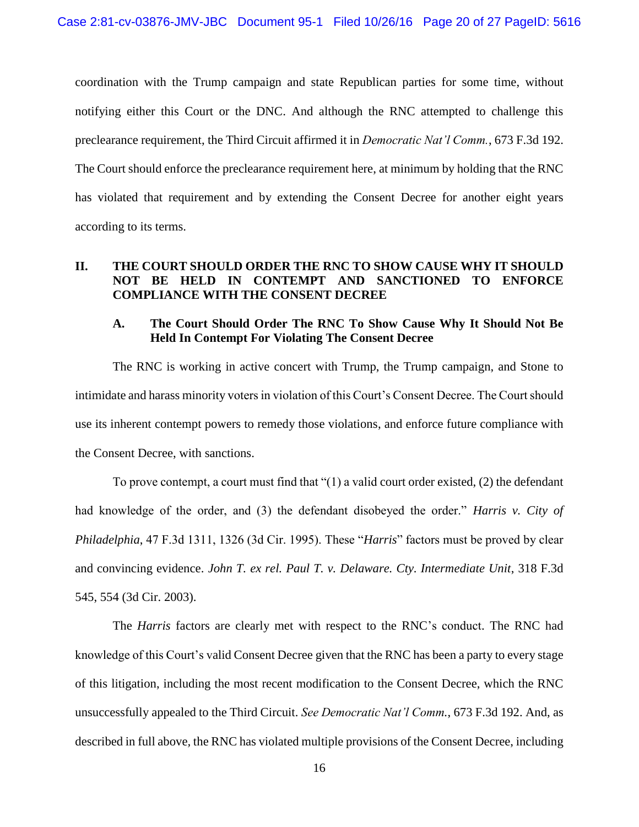coordination with the Trump campaign and state Republican parties for some time, without notifying either this Court or the DNC. And although the RNC attempted to challenge this preclearance requirement, the Third Circuit affirmed it in *Democratic Nat'l Comm.*, 673 F.3d 192. The Court should enforce the preclearance requirement here, at minimum by holding that the RNC has violated that requirement and by extending the Consent Decree for another eight years according to its terms.

# <span id="page-19-0"></span>**II. THE COURT SHOULD ORDER THE RNC TO SHOW CAUSE WHY IT SHOULD NOT BE HELD IN CONTEMPT AND SANCTIONED TO ENFORCE COMPLIANCE WITH THE CONSENT DECREE**

## <span id="page-19-1"></span>**A. The Court Should Order The RNC To Show Cause Why It Should Not Be Held In Contempt For Violating The Consent Decree**

The RNC is working in active concert with Trump, the Trump campaign, and Stone to intimidate and harass minority voters in violation of this Court's Consent Decree. The Court should use its inherent contempt powers to remedy those violations, and enforce future compliance with the Consent Decree, with sanctions.

<span id="page-19-2"></span>To prove contempt, a court must find that "(1) a valid court order existed, (2) the defendant had knowledge of the order, and (3) the defendant disobeyed the order." *Harris v. City of Philadelphia*, 47 F.3d 1311, 1326 (3d Cir. 1995). These "*Harris*" factors must be proved by clear and convincing evidence. *John T. ex rel. Paul T. v. Delaware. Cty. Intermediate Unit*, 318 F.3d 545, 554 (3d Cir. 2003).

<span id="page-19-3"></span>The *Harris* factors are clearly met with respect to the RNC's conduct. The RNC had knowledge of this Court's valid Consent Decree given that the RNC has been a party to every stage of this litigation, including the most recent modification to the Consent Decree, which the RNC unsuccessfully appealed to the Third Circuit. *See Democratic Nat'l Comm.*, 673 F.3d 192. And, as described in full above*,* the RNC has violated multiple provisions of the Consent Decree, including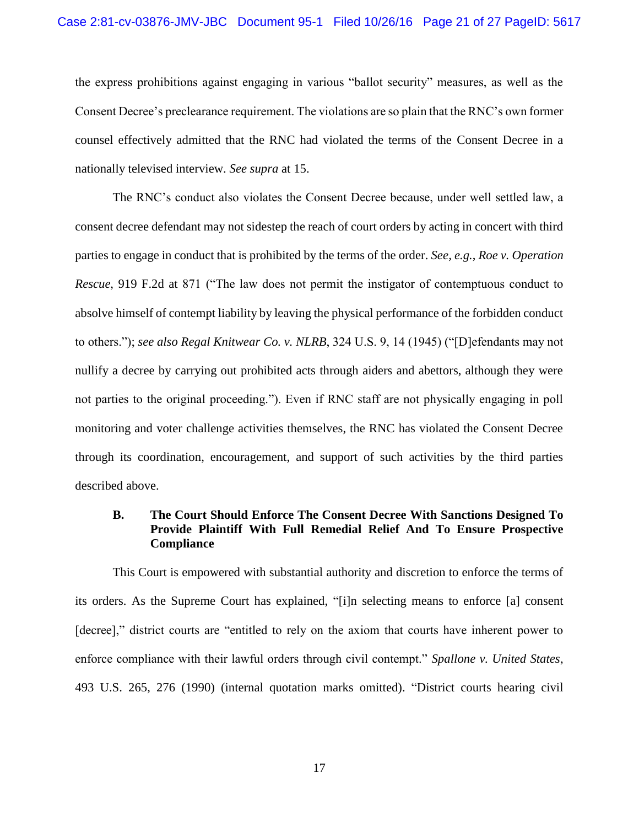the express prohibitions against engaging in various "ballot security" measures, as well as the Consent Decree's preclearance requirement. The violations are so plain that the RNC's own former counsel effectively admitted that the RNC had violated the terms of the Consent Decree in a nationally televised interview. *See supra* at 15.

<span id="page-20-2"></span><span id="page-20-1"></span>The RNC's conduct also violates the Consent Decree because, under well settled law, a consent decree defendant may not sidestep the reach of court orders by acting in concert with third parties to engage in conduct that is prohibited by the terms of the order. *See, e.g.*, *Roe v. Operation Rescue*, 919 F.2d at 871 ("The law does not permit the instigator of contemptuous conduct to absolve himself of contempt liability by leaving the physical performance of the forbidden conduct to others."); *see also Regal Knitwear Co. v. NLRB*, 324 U.S. 9, 14 (1945) ("[D]efendants may not nullify a decree by carrying out prohibited acts through aiders and abettors, although they were not parties to the original proceeding."). Even if RNC staff are not physically engaging in poll monitoring and voter challenge activities themselves, the RNC has violated the Consent Decree through its coordination, encouragement, and support of such activities by the third parties described above.

### <span id="page-20-3"></span><span id="page-20-0"></span>**B. The Court Should Enforce The Consent Decree With Sanctions Designed To Provide Plaintiff With Full Remedial Relief And To Ensure Prospective Compliance**

This Court is empowered with substantial authority and discretion to enforce the terms of its orders. As the Supreme Court has explained, "[i]n selecting means to enforce [a] consent [decree]," district courts are "entitled to rely on the axiom that courts have inherent power to enforce compliance with their lawful orders through civil contempt." *Spallone v. United States*, 493 U.S. 265, 276 (1990) (internal quotation marks omitted). "District courts hearing civil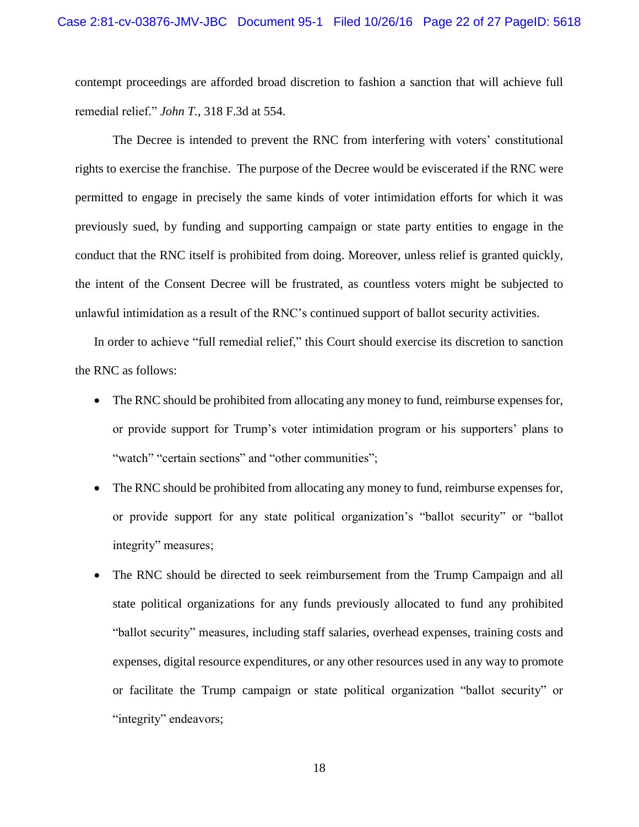<span id="page-21-0"></span>contempt proceedings are afforded broad discretion to fashion a sanction that will achieve full remedial relief." *John T.*, 318 F.3d at 554.

The Decree is intended to prevent the RNC from interfering with voters' constitutional rights to exercise the franchise. The purpose of the Decree would be eviscerated if the RNC were permitted to engage in precisely the same kinds of voter intimidation efforts for which it was previously sued, by funding and supporting campaign or state party entities to engage in the conduct that the RNC itself is prohibited from doing. Moreover, unless relief is granted quickly, the intent of the Consent Decree will be frustrated, as countless voters might be subjected to unlawful intimidation as a result of the RNC's continued support of ballot security activities.

In order to achieve "full remedial relief," this Court should exercise its discretion to sanction the RNC as follows:

- The RNC should be prohibited from allocating any money to fund, reimburse expenses for, or provide support for Trump's voter intimidation program or his supporters' plans to "watch" "certain sections" and "other communities";
- The RNC should be prohibited from allocating any money to fund, reimburse expenses for, or provide support for any state political organization's "ballot security" or "ballot integrity" measures;
- The RNC should be directed to seek reimbursement from the Trump Campaign and all state political organizations for any funds previously allocated to fund any prohibited "ballot security" measures, including staff salaries, overhead expenses, training costs and expenses, digital resource expenditures, or any other resources used in any way to promote or facilitate the Trump campaign or state political organization "ballot security" or "integrity" endeavors;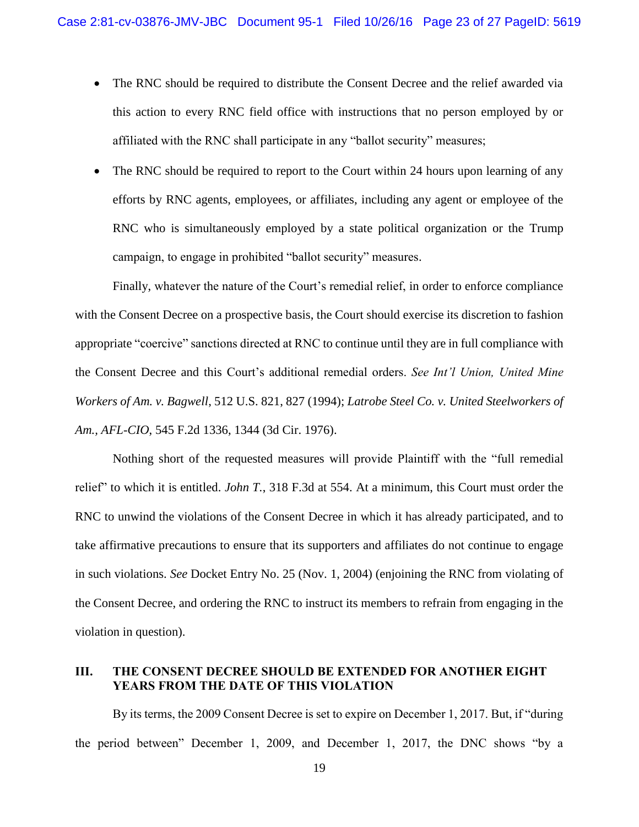- The RNC should be required to distribute the Consent Decree and the relief awarded via this action to every RNC field office with instructions that no person employed by or affiliated with the RNC shall participate in any "ballot security" measures;
- The RNC should be required to report to the Court within 24 hours upon learning of any efforts by RNC agents, employees, or affiliates, including any agent or employee of the RNC who is simultaneously employed by a state political organization or the Trump campaign, to engage in prohibited "ballot security" measures.

<span id="page-22-1"></span>Finally, whatever the nature of the Court's remedial relief, in order to enforce compliance with the Consent Decree on a prospective basis, the Court should exercise its discretion to fashion appropriate "coercive" sanctions directed at RNC to continue until they are in full compliance with the Consent Decree and this Court's additional remedial orders. *See Int'l Union, United Mine Workers of Am. v. Bagwell*, 512 U.S. 821, 827 (1994); *Latrobe Steel Co. v. United Steelworkers of Am., AFL-CIO*, 545 F.2d 1336, 1344 (3d Cir. 1976).

<span id="page-22-3"></span><span id="page-22-2"></span>Nothing short of the requested measures will provide Plaintiff with the "full remedial relief" to which it is entitled. *John T.*, 318 F.3d at 554. At a minimum, this Court must order the RNC to unwind the violations of the Consent Decree in which it has already participated, and to take affirmative precautions to ensure that its supporters and affiliates do not continue to engage in such violations. *See* Docket Entry No. 25 (Nov. 1, 2004) (enjoining the RNC from violating of the Consent Decree, and ordering the RNC to instruct its members to refrain from engaging in the violation in question).

## <span id="page-22-0"></span>**III. THE CONSENT DECREE SHOULD BE EXTENDED FOR ANOTHER EIGHT YEARS FROM THE DATE OF THIS VIOLATION**

By its terms, the 2009 Consent Decree is set to expire on December 1, 2017. But, if "during the period between" December 1, 2009, and December 1, 2017, the DNC shows "by a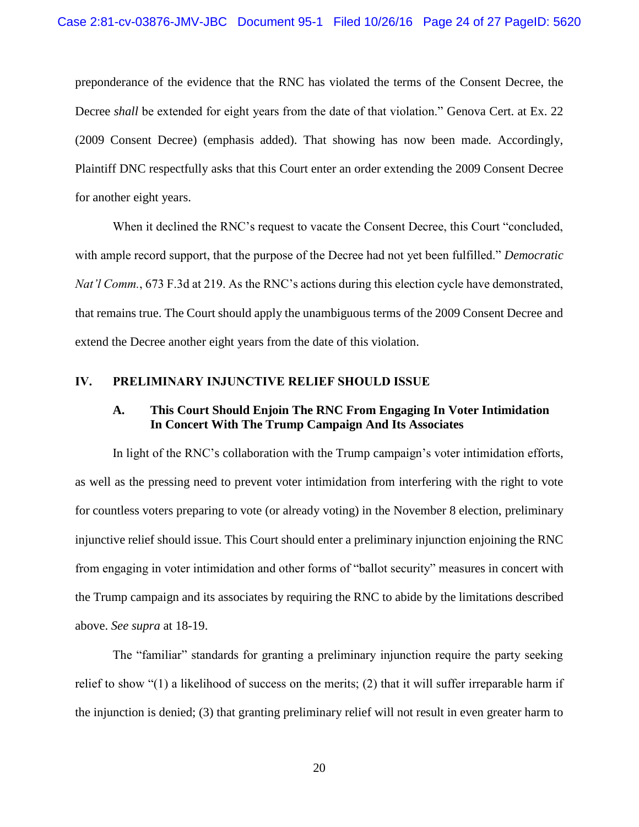preponderance of the evidence that the RNC has violated the terms of the Consent Decree, the Decree *shall* be extended for eight years from the date of that violation." Genova Cert. at Ex. 22 (2009 Consent Decree) (emphasis added). That showing has now been made. Accordingly, Plaintiff DNC respectfully asks that this Court enter an order extending the 2009 Consent Decree for another eight years.

When it declined the RNC's request to vacate the Consent Decree, this Court "concluded, with ample record support, that the purpose of the Decree had not yet been fulfilled." *Democratic Nat'l Comm.*, 673 F.3d at 219. As the RNC's actions during this election cycle have demonstrated, that remains true. The Court should apply the unambiguous terms of the 2009 Consent Decree and extend the Decree another eight years from the date of this violation.

#### <span id="page-23-1"></span><span id="page-23-0"></span>**IV. PRELIMINARY INJUNCTIVE RELIEF SHOULD ISSUE**

### **A. This Court Should Enjoin The RNC From Engaging In Voter Intimidation In Concert With The Trump Campaign And Its Associates**

In light of the RNC's collaboration with the Trump campaign's voter intimidation efforts, as well as the pressing need to prevent voter intimidation from interfering with the right to vote for countless voters preparing to vote (or already voting) in the November 8 election, preliminary injunctive relief should issue. This Court should enter a preliminary injunction enjoining the RNC from engaging in voter intimidation and other forms of "ballot security" measures in concert with the Trump campaign and its associates by requiring the RNC to abide by the limitations described above. *See supra* at 18-19.

The "familiar" standards for granting a preliminary injunction require the party seeking relief to show "(1) a likelihood of success on the merits; (2) that it will suffer irreparable harm if the injunction is denied; (3) that granting preliminary relief will not result in even greater harm to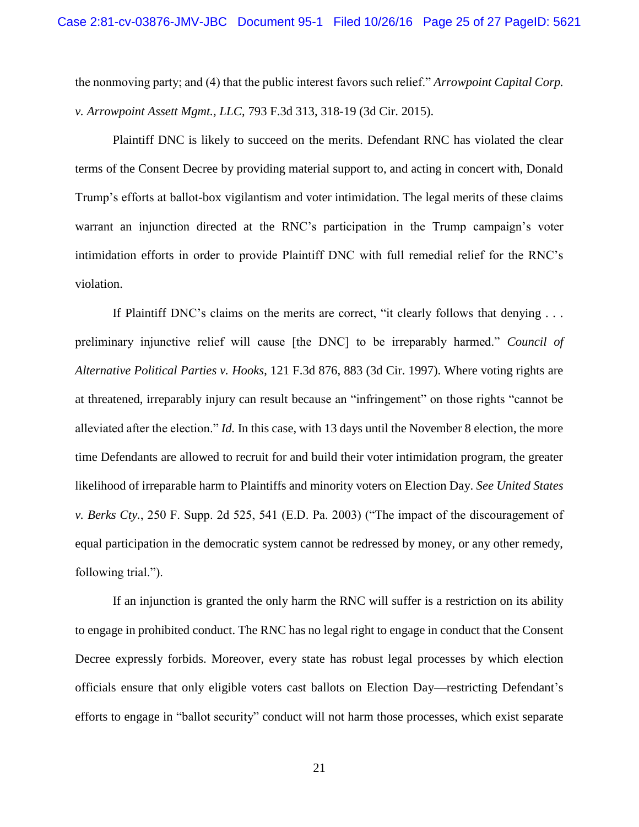<span id="page-24-0"></span>the nonmoving party; and (4) that the public interest favors such relief." *Arrowpoint Capital Corp. v. Arrowpoint Assett Mgmt., LLC*, 793 F.3d 313, 318-19 (3d Cir. 2015).

Plaintiff DNC is likely to succeed on the merits. Defendant RNC has violated the clear terms of the Consent Decree by providing material support to, and acting in concert with, Donald Trump's efforts at ballot-box vigilantism and voter intimidation. The legal merits of these claims warrant an injunction directed at the RNC's participation in the Trump campaign's voter intimidation efforts in order to provide Plaintiff DNC with full remedial relief for the RNC's violation.

<span id="page-24-2"></span><span id="page-24-1"></span>If Plaintiff DNC's claims on the merits are correct, "it clearly follows that denying . . . preliminary injunctive relief will cause [the DNC] to be irreparably harmed." *Council of Alternative Political Parties v. Hooks*, 121 F.3d 876, 883 (3d Cir. 1997). Where voting rights are at threatened, irreparably injury can result because an "infringement" on those rights "cannot be alleviated after the election." *Id.* In this case, with 13 days until the November 8 election, the more time Defendants are allowed to recruit for and build their voter intimidation program, the greater likelihood of irreparable harm to Plaintiffs and minority voters on Election Day. *See United States v. Berks Cty.*, 250 F. Supp. 2d 525, 541 (E.D. Pa. 2003) ("The impact of the discouragement of equal participation in the democratic system cannot be redressed by money, or any other remedy, following trial.").

<span id="page-24-3"></span>If an injunction is granted the only harm the RNC will suffer is a restriction on its ability to engage in prohibited conduct. The RNC has no legal right to engage in conduct that the Consent Decree expressly forbids. Moreover, every state has robust legal processes by which election officials ensure that only eligible voters cast ballots on Election Day—restricting Defendant's efforts to engage in "ballot security" conduct will not harm those processes, which exist separate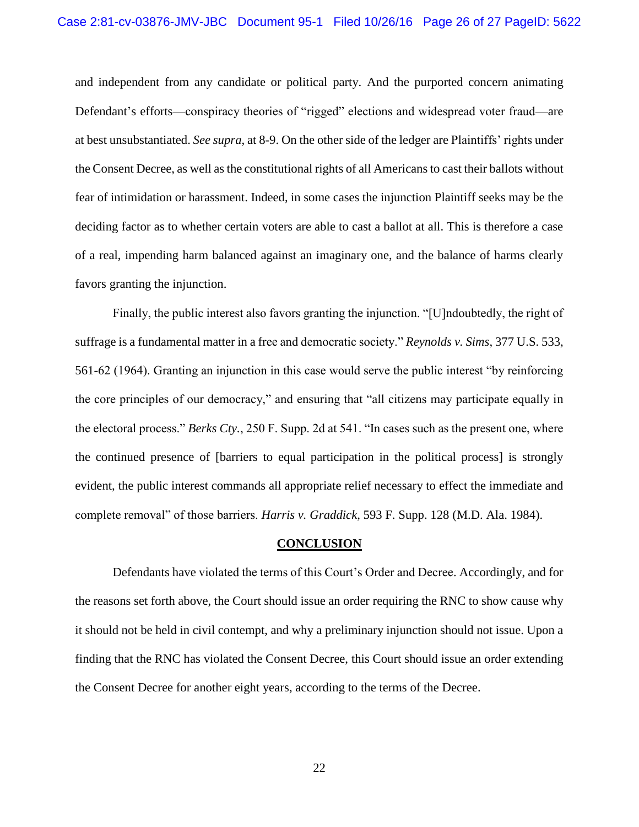and independent from any candidate or political party. And the purported concern animating Defendant's efforts—conspiracy theories of "rigged" elections and widespread voter fraud—are at best unsubstantiated. *See supra*, at 8-9. On the other side of the ledger are Plaintiffs' rights under the Consent Decree, as well as the constitutional rights of all Americans to cast their ballots without fear of intimidation or harassment. Indeed, in some cases the injunction Plaintiff seeks may be the deciding factor as to whether certain voters are able to cast a ballot at all. This is therefore a case of a real, impending harm balanced against an imaginary one, and the balance of harms clearly favors granting the injunction.

Finally, the public interest also favors granting the injunction. "[U]ndoubtedly, the right of suffrage is a fundamental matter in a free and democratic society." *Reynolds v. Sims*, 377 U.S. 533, 561-62 (1964). Granting an injunction in this case would serve the public interest "by reinforcing the core principles of our democracy," and ensuring that "all citizens may participate equally in the electoral process." *Berks Cty.*, 250 F. Supp. 2d at 541. "In cases such as the present one, where the continued presence of [barriers to equal participation in the political process] is strongly evident, the public interest commands all appropriate relief necessary to effect the immediate and complete removal" of those barriers. *Harris v. Graddick*, 593 F. Supp. 128 (M.D. Ala. 1984).

#### <span id="page-25-3"></span><span id="page-25-2"></span><span id="page-25-1"></span>**CONCLUSION**

<span id="page-25-0"></span>Defendants have violated the terms of this Court's Order and Decree. Accordingly, and for the reasons set forth above, the Court should issue an order requiring the RNC to show cause why it should not be held in civil contempt, and why a preliminary injunction should not issue. Upon a finding that the RNC has violated the Consent Decree, this Court should issue an order extending the Consent Decree for another eight years, according to the terms of the Decree.